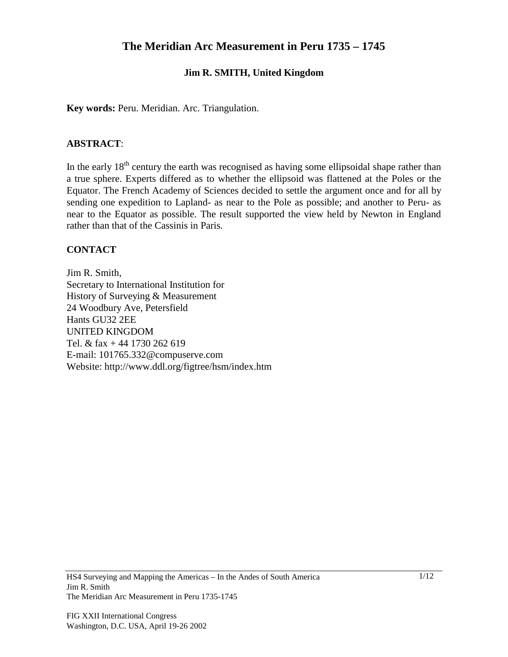# **The Meridian Arc Measurement in Peru 1735 – 1745**

## **Jim R. SMITH, United Kingdom**

**Key words:** Peru. Meridian. Arc. Triangulation.

#### **ABSTRACT**:

In the early  $18<sup>th</sup>$  century the earth was recognised as having some ellipsoidal shape rather than a true sphere. Experts differed as to whether the ellipsoid was flattened at the Poles or the Equator. The French Academy of Sciences decided to settle the argument once and for all by sending one expedition to Lapland- as near to the Pole as possible; and another to Peru- as near to the Equator as possible. The result supported the view held by Newton in England rather than that of the Cassinis in Paris.

#### **CONTACT**

Jim R. Smith, Secretary to International Institution for History of Surveying & Measurement 24 Woodbury Ave, Petersfield Hants GU32 2EE UNITED KINGDOM Tel. & fax + 44 1730 262 619 E-mail: 101765.332@compuserve.com Website: http://www.ddl.org/figtree/hsm/index.htm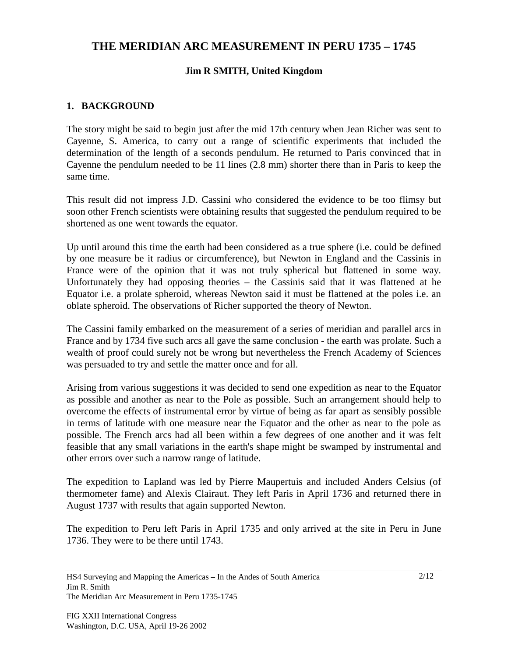# **THE MERIDIAN ARC MEASUREMENT IN PERU 1735 – 1745**

# **Jim R SMITH, United Kingdom**

## **1. BACKGROUND**

The story might be said to begin just after the mid 17th century when Jean Richer was sent to Cayenne, S. America, to carry out a range of scientific experiments that included the determination of the length of a seconds pendulum. He returned to Paris convinced that in Cayenne the pendulum needed to be 11 lines (2.8 mm) shorter there than in Paris to keep the same time.

This result did not impress J.D. Cassini who considered the evidence to be too flimsy but soon other French scientists were obtaining results that suggested the pendulum required to be shortened as one went towards the equator.

Up until around this time the earth had been considered as a true sphere (i.e. could be defined by one measure be it radius or circumference), but Newton in England and the Cassinis in France were of the opinion that it was not truly spherical but flattened in some way. Unfortunately they had opposing theories – the Cassinis said that it was flattened at he Equator i.e. a prolate spheroid, whereas Newton said it must be flattened at the poles i.e. an oblate spheroid. The observations of Richer supported the theory of Newton.

The Cassini family embarked on the measurement of a series of meridian and parallel arcs in France and by 1734 five such arcs all gave the same conclusion - the earth was prolate. Such a wealth of proof could surely not be wrong but nevertheless the French Academy of Sciences was persuaded to try and settle the matter once and for all.

Arising from various suggestions it was decided to send one expedition as near to the Equator as possible and another as near to the Pole as possible. Such an arrangement should help to overcome the effects of instrumental error by virtue of being as far apart as sensibly possible in terms of latitude with one measure near the Equator and the other as near to the pole as possible. The French arcs had all been within a few degrees of one another and it was felt feasible that any small variations in the earth's shape might be swamped by instrumental and other errors over such a narrow range of latitude.

The expedition to Lapland was led by Pierre Maupertuis and included Anders Celsius (of thermometer fame) and Alexis Clairaut. They left Paris in April 1736 and returned there in August 1737 with results that again supported Newton.

The expedition to Peru left Paris in April 1735 and only arrived at the site in Peru in June 1736. They were to be there until 1743.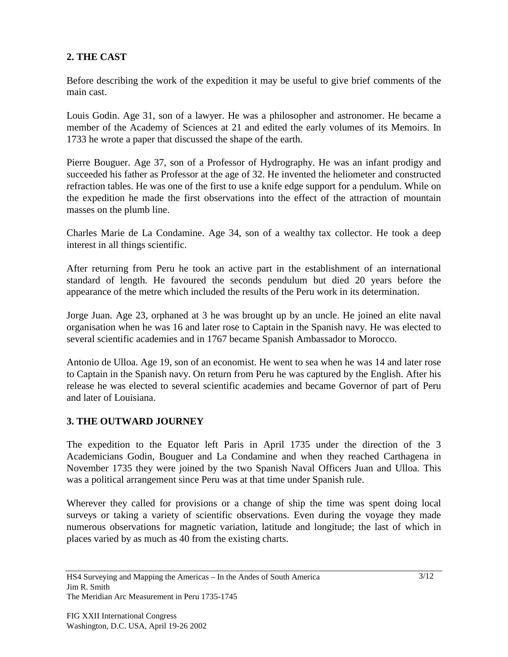# **2. THE CAST**

Before describing the work of the expedition it may be useful to give brief comments of the main cast.

Louis Godin. Age 31, son of a lawyer. He was a philosopher and astronomer. He became a member of the Academy of Sciences at 21 and edited the early volumes of its Memoirs. In 1733 he wrote a paper that discussed the shape of the earth.

Pierre Bouguer. Age 37, son of a Professor of Hydrography. He was an infant prodigy and succeeded his father as Professor at the age of 32. He invented the heliometer and constructed refraction tables. He was one of the first to use a knife edge support for a pendulum. While on the expedition he made the first observations into the effect of the attraction of mountain masses on the plumb line.

Charles Marie de La Condamine. Age 34, son of a wealthy tax collector. He took a deep interest in all things scientific.

After returning from Peru he took an active part in the establishment of an international standard of length. He favoured the seconds pendulum but died 20 years before the appearance of the metre which included the results of the Peru work in its determination.

Jorge Juan. Age 23, orphaned at 3 he was brought up by an uncle. He joined an elite naval organisation when he was 16 and later rose to Captain in the Spanish navy. He was elected to several scientific academies and in 1767 became Spanish Ambassador to Morocco.

Antonio de Ulloa. Age 19, son of an economist. He went to sea when he was 14 and later rose to Captain in the Spanish navy. On return from Peru he was captured by the English. After his release he was elected to several scientific academies and became Governor of part of Peru and later of Louisiana.

# **3. THE OUTWARD JOURNEY**

The expedition to the Equator left Paris in April 1735 under the direction of the 3 Academicians Godin, Bouguer and La Condamine and when they reached Carthagena in November 1735 they were joined by the two Spanish Naval Officers Juan and Ulloa. This was a political arrangement since Peru was at that time under Spanish rule.

Wherever they called for provisions or a change of ship the time was spent doing local surveys or taking a variety of scientific observations. Even during the voyage they made numerous observations for magnetic variation, latitude and longitude; the last of which in places varied by as much as 40 from the existing charts.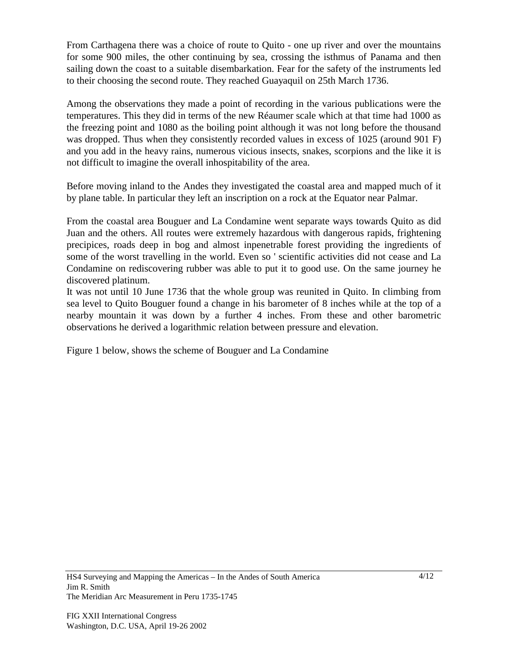From Carthagena there was a choice of route to Quito - one up river and over the mountains for some 900 miles, the other continuing by sea, crossing the isthmus of Panama and then sailing down the coast to a suitable disembarkation. Fear for the safety of the instruments led to their choosing the second route. They reached Guayaquil on 25th March 1736.

Among the observations they made a point of recording in the various publications were the temperatures. This they did in terms of the new Réaumer scale which at that time had 1000 as the freezing point and 1080 as the boiling point although it was not long before the thousand was dropped. Thus when they consistently recorded values in excess of 1025 (around 901 F) and you add in the heavy rains, numerous vicious insects, snakes, scorpions and the like it is not difficult to imagine the overall inhospitability of the area.

Before moving inland to the Andes they investigated the coastal area and mapped much of it by plane table. In particular they left an inscription on a rock at the Equator near Palmar.

From the coastal area Bouguer and La Condamine went separate ways towards Quito as did Juan and the others. All routes were extremely hazardous with dangerous rapids, frightening precipices, roads deep in bog and almost inpenetrable forest providing the ingredients of some of the worst travelling in the world. Even so ' scientific activities did not cease and La Condamine on rediscovering rubber was able to put it to good use. On the same journey he discovered platinum.

It was not until 10 June 1736 that the whole group was reunited in Quito. In climbing from sea level to Quito Bouguer found a change in his barometer of 8 inches while at the top of a nearby mountain it was down by a further 4 inches. From these and other barometric observations he derived a logarithmic relation between pressure and elevation.

Figure 1 below, shows the scheme of Bouguer and La Condamine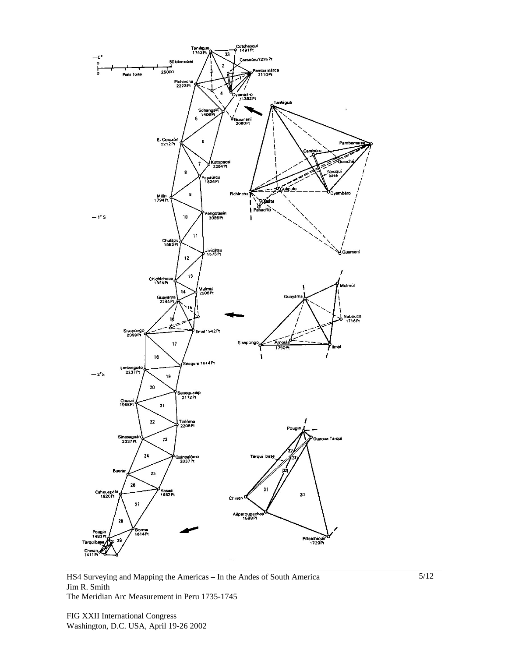

HS4 Surveying and Mapping the Americas – In the Andes of South America Jim R. Smith The Meridian Arc Measurement in Peru 1735-1745

FIG XXII International Congress Washington, D.C. USA, April 19-26 2002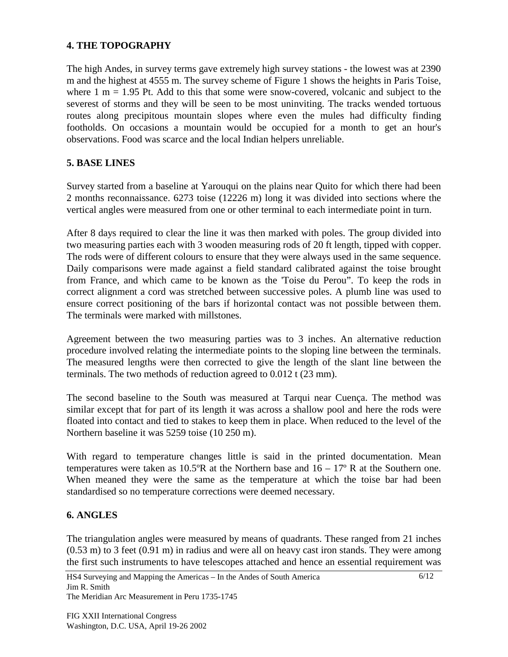#### **4. THE TOPOGRAPHY**

The high Andes, in survey terms gave extremely high survey stations - the lowest was at 2390 m and the highest at 4555 m. The survey scheme of Figure 1 shows the heights in Paris Toise, where  $1 \text{ m} = 1.95 \text{ Pt}$ . Add to this that some were snow-covered, volcanic and subject to the severest of storms and they will be seen to be most uninviting. The tracks wended tortuous routes along precipitous mountain slopes where even the mules had difficulty finding footholds. On occasions a mountain would be occupied for a month to get an hour's observations. Food was scarce and the local Indian helpers unreliable.

### **5. BASE LINES**

Survey started from a baseline at Yarouqui on the plains near Quito for which there had been 2 months reconnaissance. 6273 toise (12226 m) long it was divided into sections where the vertical angles were measured from one or other terminal to each intermediate point in turn.

After 8 days required to clear the line it was then marked with poles. The group divided into two measuring parties each with 3 wooden measuring rods of 20 ft length, tipped with copper. The rods were of different colours to ensure that they were always used in the same sequence. Daily comparisons were made against a field standard calibrated against the toise brought from France, and which came to be known as the 'Toise du Perou". To keep the rods in correct alignment a cord was stretched between successive poles. A plumb line was used to ensure correct positioning of the bars if horizontal contact was not possible between them. The terminals were marked with millstones.

Agreement between the two measuring parties was to 3 inches. An alternative reduction procedure involved relating the intermediate points to the sloping line between the terminals. The measured lengths were then corrected to give the length of the slant line between the terminals. The two methods of reduction agreed to 0.012 t (23 mm).

The second baseline to the South was measured at Tarqui near Cuença. The method was similar except that for part of its length it was across a shallow pool and here the rods were floated into contact and tied to stakes to keep them in place. When reduced to the level of the Northern baseline it was 5259 toise (10 250 m).

With regard to temperature changes little is said in the printed documentation. Mean temperatures were taken as  $10.5^{\circ}R$  at the Northern base and  $16 - 17^{\circ}R$  at the Southern one. When meaned they were the same as the temperature at which the toise bar had been standardised so no temperature corrections were deemed necessary.

#### **6. ANGLES**

The triangulation angles were measured by means of quadrants. These ranged from 21 inches (0.53 m) to 3 feet (0.91 m) in radius and were all on heavy cast iron stands. They were among the first such instruments to have telescopes attached and hence an essential requirement was

HS4 Surveying and Mapping the Americas – In the Andes of South America Jim R. Smith The Meridian Arc Measurement in Peru 1735-1745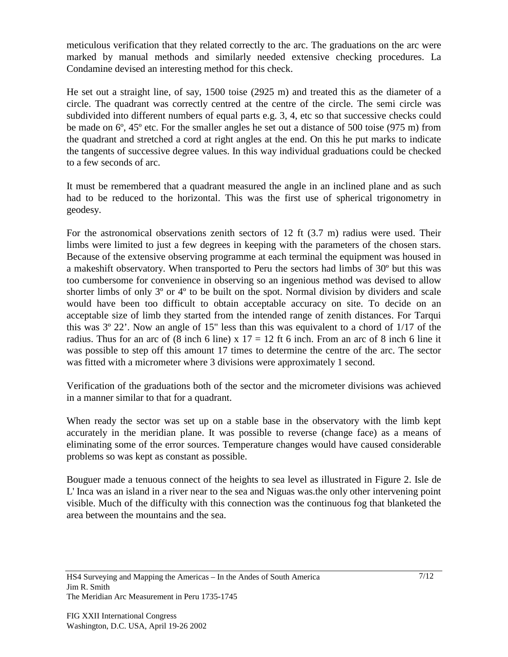meticulous verification that they related correctly to the arc. The graduations on the arc were marked by manual methods and similarly needed extensive checking procedures. La Condamine devised an interesting method for this check.

He set out a straight line, of say, 1500 toise (2925 m) and treated this as the diameter of a circle. The quadrant was correctly centred at the centre of the circle. The semi circle was subdivided into different numbers of equal parts e.g. 3, 4, etc so that successive checks could be made on 6º, 45º etc. For the smaller angles he set out a distance of 500 toise (975 m) from the quadrant and stretched a cord at right angles at the end. On this he put marks to indicate the tangents of successive degree values. In this way individual graduations could be checked to a few seconds of arc.

It must be remembered that a quadrant measured the angle in an inclined plane and as such had to be reduced to the horizontal. This was the first use of spherical trigonometry in geodesy.

For the astronomical observations zenith sectors of 12 ft (3.7 m) radius were used. Their limbs were limited to just a few degrees in keeping with the parameters of the chosen stars. Because of the extensive observing programme at each terminal the equipment was housed in a makeshift observatory. When transported to Peru the sectors had limbs of 30º but this was too cumbersome for convenience in observing so an ingenious method was devised to allow shorter limbs of only 3º or 4º to be built on the spot. Normal division by dividers and scale would have been too difficult to obtain acceptable accuracy on site. To decide on an acceptable size of limb they started from the intended range of zenith distances. For Tarqui this was 3º 22'. Now an angle of 15" less than this was equivalent to a chord of 1/17 of the radius. Thus for an arc of  $(8 \text{ inch} 6 \text{ line}) \times 17 = 12 \text{ ft} 6 \text{ inch}$ . From an arc of  $8 \text{ inch} 6 \text{ line it}$ was possible to step off this amount 17 times to determine the centre of the arc. The sector was fitted with a micrometer where 3 divisions were approximately 1 second.

Verification of the graduations both of the sector and the micrometer divisions was achieved in a manner similar to that for a quadrant.

When ready the sector was set up on a stable base in the observatory with the limb kept accurately in the meridian plane. It was possible to reverse (change face) as a means of eliminating some of the error sources. Temperature changes would have caused considerable problems so was kept as constant as possible.

Bouguer made a tenuous connect of the heights to sea level as illustrated in Figure 2. Isle de L' Inca was an island in a river near to the sea and Niguas was.the only other intervening point visible. Much of the difficulty with this connection was the continuous fog that blanketed the area between the mountains and the sea.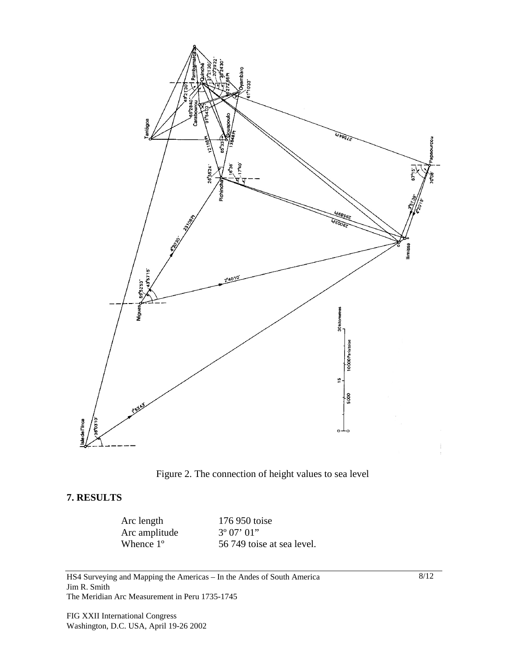



#### **7. RESULTS**

Arc amplitude  $3^{\circ} 07' 01''$ <br>Whence 1° 56 749 tois

Arc length 176 950 toise 56 749 toise at sea level.

HS4 Surveying and Mapping the Americas – In the Andes of South America Jim R. Smith The Meridian Arc Measurement in Peru 1735-1745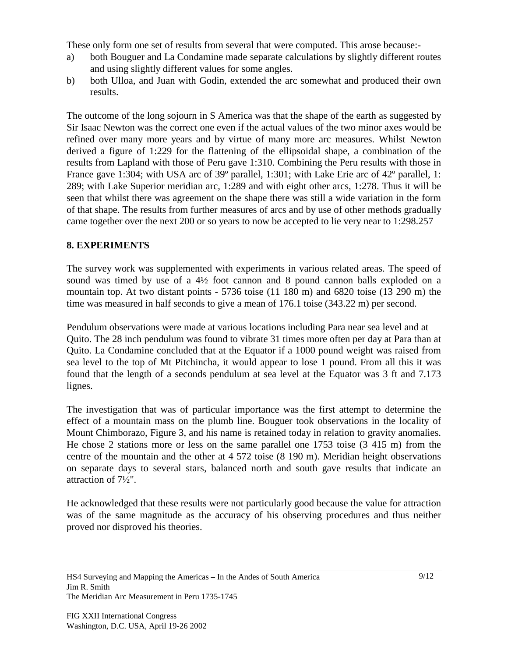These only form one set of results from several that were computed. This arose because:-

- a) both Bouguer and La Condamine made separate calculations by slightly different routes and using slightly different values for some angles.
- b) both Ulloa, and Juan with Godin, extended the arc somewhat and produced their own results.

The outcome of the long sojourn in S America was that the shape of the earth as suggested by Sir Isaac Newton was the correct one even if the actual values of the two minor axes would be refined over many more years and by virtue of many more arc measures. Whilst Newton derived a figure of 1:229 for the flattening of the ellipsoidal shape, a combination of the results from Lapland with those of Peru gave 1:310. Combining the Peru results with those in France gave 1:304; with USA arc of 39° parallel, 1:301; with Lake Erie arc of 42° parallel, 1: 289; with Lake Superior meridian arc, 1:289 and with eight other arcs, 1:278. Thus it will be seen that whilst there was agreement on the shape there was still a wide variation in the form of that shape. The results from further measures of arcs and by use of other methods gradually came together over the next 200 or so years to now be accepted to lie very near to 1:298.257

# **8. EXPERIMENTS**

The survey work was supplemented with experiments in various related areas. The speed of sound was timed by use of a 4½ foot cannon and 8 pound cannon balls exploded on a mountain top. At two distant points - 5736 toise (11 180 m) and 6820 toise (13 290 m) the time was measured in half seconds to give a mean of 176.1 toise (343.22 m) per second.

Pendulum observations were made at various locations including Para near sea level and at Quito. The 28 inch pendulum was found to vibrate 31 times more often per day at Para than at Quito. La Condamine concluded that at the Equator if a 1000 pound weight was raised from sea level to the top of Mt Pitchincha, it would appear to lose 1 pound. From all this it was found that the length of a seconds pendulum at sea level at the Equator was 3 ft and 7.173 lignes.

The investigation that was of particular importance was the first attempt to determine the effect of a mountain mass on the plumb line. Bouguer took observations in the locality of Mount Chimborazo, Figure 3, and his name is retained today in relation to gravity anomalies. He chose 2 stations more or less on the same parallel one 1753 toise (3 415 m) from the centre of the mountain and the other at 4 572 toise (8 190 m). Meridian height observations on separate days to several stars, balanced north and south gave results that indicate an attraction of 7½".

He acknowledged that these results were not particularly good because the value for attraction was of the same magnitude as the accuracy of his observing procedures and thus neither proved nor disproved his theories.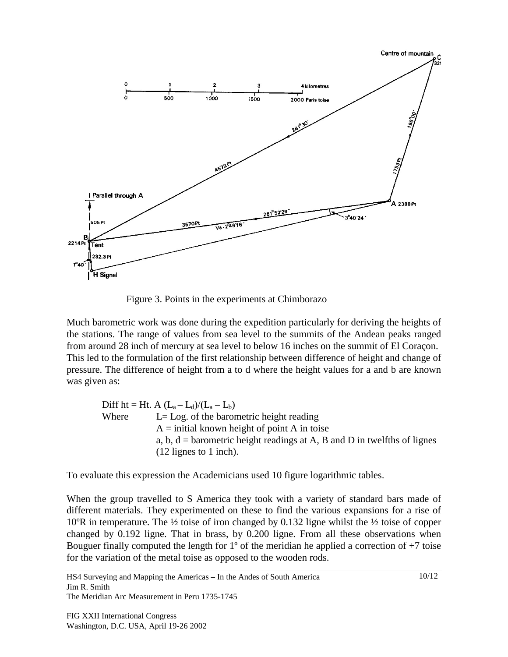

Figure 3. Points in the experiments at Chimborazo

Much barometric work was done during the expedition particularly for deriving the heights of the stations. The range of values from sea level to the summits of the Andean peaks ranged from around 28 inch of mercury at sea level to below 16 inches on the summit of El Coraçon. This led to the formulation of the first relationship between difference of height and change of pressure. The difference of height from a to d where the height values for a and b are known was given as:

Diff ht = Ht. A  $(L_a - L_d)/(L_a - L_b)$ Where  $L = Log$  of the barometric height reading  $A =$  initial known height of point A in toise a, b,  $d =$  barometric height readings at A, B and D in twelfths of lignes (12 lignes to 1 inch).

To evaluate this expression the Academicians used 10 figure logarithmic tables.

When the group travelled to S America they took with a variety of standard bars made of different materials. They experimented on these to find the various expansions for a rise of 10°R in temperature. The  $\frac{1}{2}$  toise of iron changed by 0.132 ligne whilst the  $\frac{1}{2}$  toise of copper changed by 0.192 ligne. That in brass, by 0.200 ligne. From all these observations when Bouguer finally computed the length for  $1^{\circ}$  of the meridian he applied a correction of  $+7$  toise for the variation of the metal toise as opposed to the wooden rods.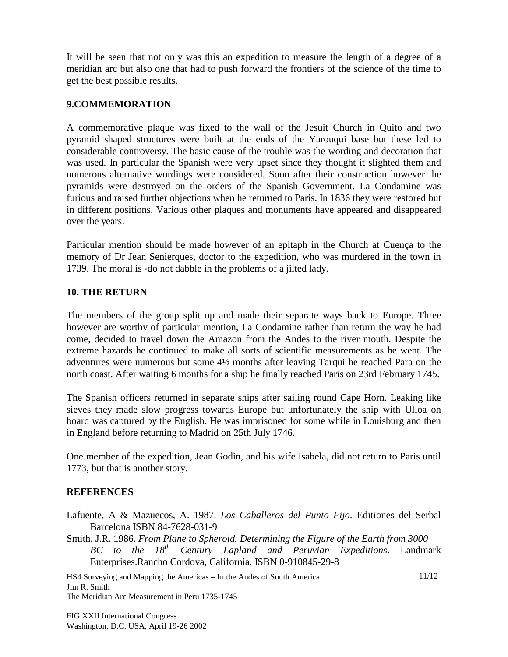It will be seen that not only was this an expedition to measure the length of a degree of a meridian arc but also one that had to push forward the frontiers of the science of the time to get the best possible results.

## **9.COMMEMORATION**

A commemorative plaque was fixed to the wall of the Jesuit Church in Quito and two pyramid shaped structures were built at the ends of the Yarouqui base but these led to considerable controversy. The basic cause of the trouble was the wording and decoration that was used. In particular the Spanish were very upset since they thought it slighted them and numerous alternative wordings were considered. Soon after their construction however the pyramids were destroyed on the orders of the Spanish Government. La Condamine was furious and raised further objections when he returned to Paris. In 1836 they were restored but in different positions. Various other plaques and monuments have appeared and disappeared over the years.

Particular mention should be made however of an epitaph in the Church at Cuença to the memory of Dr Jean Senierques, doctor to the expedition, who was murdered in the town in 1739. The moral is -do not dabble in the problems of a jilted lady.

#### **10. THE RETURN**

The members of the group split up and made their separate ways back to Europe. Three however are worthy of particular mention, La Condamine rather than return the way he had come, decided to travel down the Amazon from the Andes to the river mouth. Despite the extreme hazards he continued to make all sorts of scientific measurements as he went. The adventures were numerous but some 4½ months after leaving Tarqui he reached Para on the north coast. After waiting 6 months for a ship he finally reached Paris on 23rd February 1745.

The Spanish officers returned in separate ships after sailing round Cape Horn. Leaking like sieves they made slow progress towards Europe but unfortunately the ship with Ulloa on board was captured by the English. He was imprisoned for some while in Louisburg and then in England before returning to Madrid on 25th July 1746.

One member of the expedition, Jean Godin, and his wife Isabela, did not return to Paris until 1773, but that is another story.

#### **REFERENCES**

- Lafuente, A & Mazuecos, A. 1987. *Los Caballeros del Punto Fijo*. Editiones del Serbal Barcelona ISBN 84-7628-031-9
- Smith, J.R. 1986. *From Plane to Spheroid. Determining the Figure of the Earth from 3000 BC to the 18th Century Lapland and Peruvian Expeditions*. Landmark Enterprises.Rancho Cordova, California. ISBN 0-910845-29-8

HS4 Surveying and Mapping the Americas – In the Andes of South America Jim R. Smith The Meridian Arc Measurement in Peru 1735-1745